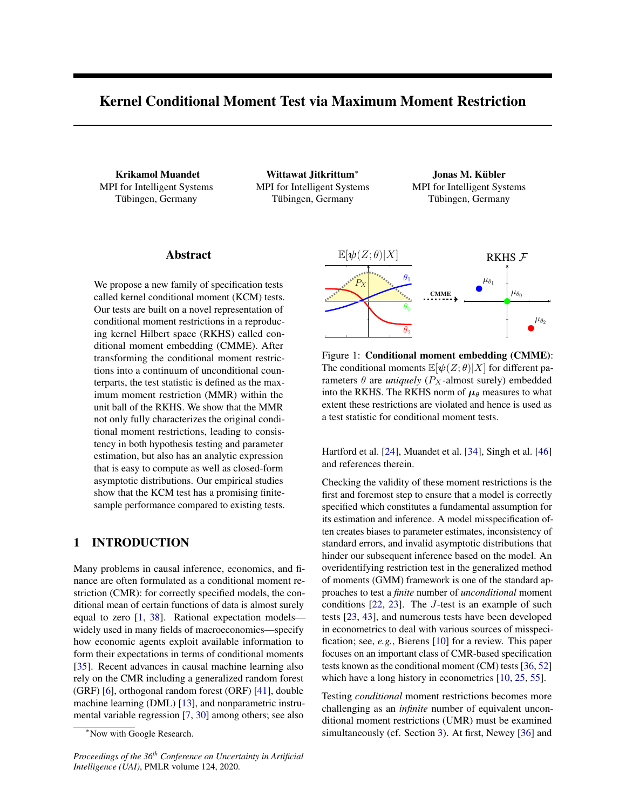# Kernel Conditional Moment Test via Maximum Moment Restriction

Krikamol Muandet MPI for Intelligent Systems Tübingen, Germany

Wittawat Jitkrittum<sup>\*</sup> MPI for Intelligent Systems Tübingen, Germany

Jonas M. Kübler MPI for Intelligent Systems Tübingen, Germany

### Abstract

We propose a new family of specification tests called kernel conditional moment (KCM) tests. Our tests are built on a novel representation of conditional moment restrictions in a reproducing kernel Hilbert space (RKHS) called conditional moment embedding (CMME). After transforming the conditional moment restrictions into a continuum of unconditional counterparts, the test statistic is defined as the maximum moment restriction (MMR) within the unit ball of the RKHS. We show that the MMR not only fully characterizes the original conditional moment restrictions, leading to consistency in both hypothesis testing and parameter estimation, but also has an analytic expression that is easy to compute as well as closed-form asymptotic distributions. Our empirical studies show that the KCM test has a promising finitesample performance compared to existing tests.

## 1 INTRODUCTION

Many problems in causal inference, economics, and finance are often formulated as a conditional moment restriction (CMR): for correctly specified models, the conditional mean of certain functions of data is almost surely equal to zero [\[1,](#page-8-0) [38\]](#page-9-0). Rational expectation models widely used in many fields of macroeconomics—specify how economic agents exploit available information to form their expectations in terms of conditional moments [\[35\]](#page-9-1). Recent advances in causal machine learning also rely on the CMR including a generalized random forest (GRF) [\[6\]](#page-8-1), orthogonal random forest (ORF) [\[41\]](#page-9-2), double machine learning (DML) [\[13\]](#page-9-3), and nonparametric instrumental variable regression [\[7,](#page-8-2) [30\]](#page-9-4) among others; see also

*Proceedings of the 36th Conference on Uncertainty in Artificial Intelligence (UAI)*, PMLR volume 124, 2020.

<span id="page-0-0"></span>

Figure 1: Conditional moment embedding (CMME): The conditional moments  $\mathbb{E}[\psi(Z;\theta)|X]$  for different parameters  $\theta$  are *uniquely* ( $P_X$ -almost surely) embedded into the RKHS. The RKHS norm of  $\mu_{\theta}$  measures to what extent these restrictions are violated and hence is used as a test statistic for conditional moment tests.

Hartford et al. [\[24\]](#page-9-5), Muandet et al. [\[34\]](#page-9-6), Singh et al. [\[46\]](#page-9-7) and references therein.

Checking the validity of these moment restrictions is the first and foremost step to ensure that a model is correctly specified which constitutes a fundamental assumption for its estimation and inference. A model misspecification often creates biases to parameter estimates, inconsistency of standard errors, and invalid asymptotic distributions that hinder our subsequent inference based on the model. An overidentifying restriction test in the generalized method of moments (GMM) framework is one of the standard approaches to test a *finite* number of *unconditional* moment conditions [\[22,](#page-9-8) [23\]](#page-9-9). The *J*-test is an example of such tests [\[23,](#page-9-9) [43\]](#page-9-10), and numerous tests have been developed in econometrics to deal with various sources of misspecification; see, *e.g.*, Bierens [\[10\]](#page-8-3) for a review. This paper focuses on an important class of CMR-based specification tests known as the conditional moment (CM) tests [\[36,](#page-9-11) [52\]](#page-9-12) which have a long history in econometrics [\[10,](#page-8-3) [25,](#page-9-13) [55\]](#page-9-14).

Testing *conditional* moment restrictions becomes more challenging as an *infinite* number of equivalent unconditional moment restrictions (UMR) must be examined simultaneously (cf. Section [3\)](#page-2-0). At first, Newey [\[36\]](#page-9-11) and

<sup>⇤</sup>Now with Google Research.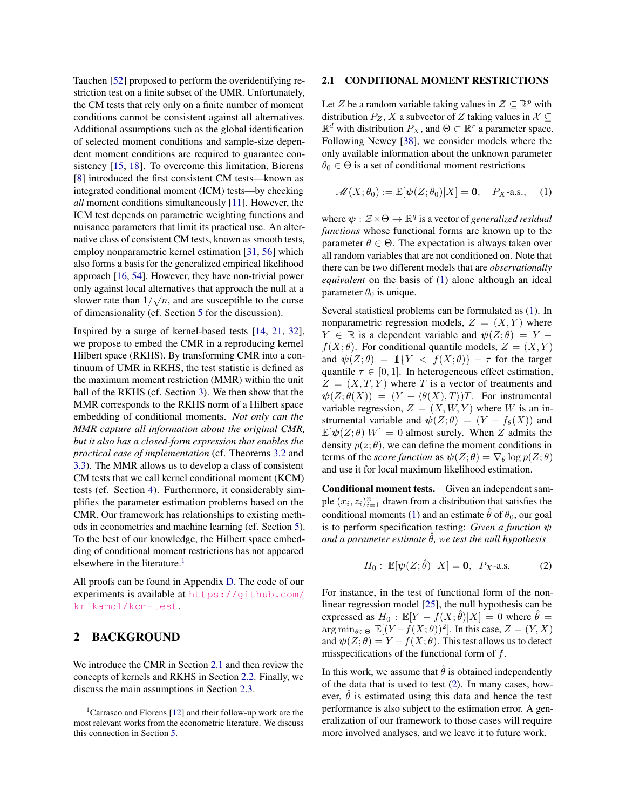Tauchen [\[52\]](#page-9-12) proposed to perform the overidentifying restriction test on a finite subset of the UMR. Unfortunately, the CM tests that rely only on a finite number of moment conditions cannot be consistent against all alternatives. Additional assumptions such as the global identification of selected moment conditions and sample-size dependent moment conditions are required to guarantee consistency [\[15,](#page-9-15) [18\]](#page-9-16). To overcome this limitation, Bierens [\[8\]](#page-8-4) introduced the first consistent CM tests—known as integrated conditional moment (ICM) tests—by checking *all* moment conditions simultaneously [\[11\]](#page-8-5). However, the ICM test depends on parametric weighting functions and nuisance parameters that limit its practical use. An alternative class of consistent CM tests, known as smooth tests, employ nonparametric kernel estimation [\[31,](#page-9-17) [56\]](#page-9-18) which also forms a basis for the generalized empirical likelihood approach [\[16,](#page-9-19) [54\]](#page-9-20). However, they have non-trivial power only against local alternatives that approach the null at a slower rate than  $1/\sqrt{n}$ , and are susceptible to the curse of dimensionality (cf. Section [5](#page-5-0) for the discussion).

Inspired by a surge of kernel-based tests [\[14,](#page-9-21) [21,](#page-9-22) [32\]](#page-9-23), we propose to embed the CMR in a reproducing kernel Hilbert space (RKHS). By transforming CMR into a continuum of UMR in RKHS, the test statistic is defined as the maximum moment restriction (MMR) within the unit ball of the RKHS (cf. Section [3\)](#page-2-0). We then show that the MMR corresponds to the RKHS norm of a Hilbert space embedding of conditional moments. *Not only can the MMR capture all information about the original CMR, but it also has a closed-form expression that enables the practical ease of implementation* (cf. Theorems [3.2](#page-3-0) and [3.3\)](#page-4-0). The MMR allows us to develop a class of consistent CM tests that we call kernel conditional moment (KCM) tests (cf. Section [4\)](#page-4-1). Furthermore, it considerably simplifies the parameter estimation problems based on the CMR. Our framework has relationships to existing methods in econometrics and machine learning (cf. Section [5\)](#page-5-0). To the best of our knowledge, the Hilbert space embedding of conditional moment restrictions has not appeared elsewhere in the literature.<sup>1</sup>

All proofs can be found in Appendix [D.](#page--1-0) The code of our experiments is available at [https://github.com/](https://github.com/krikamol/kcm-test) [krikamol/kcm-test](https://github.com/krikamol/kcm-test).

### 2 BACKGROUND

We introduce the CMR in Section [2.1](#page-1-1) and then review the concepts of kernels and RKHS in Section [2.2.](#page-2-1) Finally, we discuss the main assumptions in Section [2.3.](#page-2-2)

#### <span id="page-1-1"></span>2.1 CONDITIONAL MOMENT RESTRICTIONS

Let *Z* be a random variable taking values in  $\mathcal{Z} \subseteq \mathbb{R}^p$  with distribution  $P_Z$ ,  $X$  a subvector of  $Z$  taking values in  $X \subseteq$  $\mathbb{R}^d$  with distribution  $P_X$ , and  $\Theta \subset \mathbb{R}^r$  a parameter space. Following Newey [\[38\]](#page-9-0), we consider models where the only available information about the unknown parameter  $\theta_0 \in \Theta$  is a set of conditional moment restrictions

<span id="page-1-2"></span>
$$
\mathscr{M}(X;\theta_0) := \mathbb{E}[\psi(Z;\theta_0)|X] = \mathbf{0}, \quad P_X\text{-a.s.,} \quad (1)
$$

where  $\psi : \mathcal{Z} \times \Theta \to \mathbb{R}^q$  is a vector of *generalized residual functions* whose functional forms are known up to the parameter  $\theta \in \Theta$ . The expectation is always taken over all random variables that are not conditioned on. Note that there can be two different models that are *observationally equivalent* on the basis of [\(1\)](#page-1-2) alone although an ideal parameter  $\theta_0$  is unique.

Several statistical problems can be formulated as [\(1\)](#page-1-2). In nonparametric regression models,  $Z = (X, Y)$  where  $Y \in \mathbb{R}$  is a dependent variable and  $\psi(Z; \theta) = Y - \theta Z$  $f(X; \theta)$ . For conditional quantile models,  $Z = (X, Y)$ and  $\psi(Z; \theta) = \mathbb{1}\{Y < f(X; \theta)\} - \tau$  for the target quantile  $\tau \in [0, 1]$ . In heterogeneous effect estimation,  $Z = (X, T, Y)$  where *T* is a vector of treatments and  $\psi(Z; \theta(X)) = (Y - \langle \theta(X), T \rangle)T$ . For instrumental variable regression,  $Z = (X, W, Y)$  where *W* is an instrumental variable and  $\psi(Z; \theta) = (Y - f_{\theta}(X))$  and  $\mathbb{E}[\psi(Z;\theta)|W]=0$  almost surely. When *Z* admits the density  $p(z; \theta)$ , we can define the moment conditions in terms of the *score function* as  $\psi(Z; \theta) = \nabla_{\theta} \log p(Z; \theta)$ and use it for local maximum likelihood estimation.

Conditional moment tests. Given an independent sample  $(x_i, z_i)_{i=1}^n$  drawn from a distribution that satisfies the conditional moments [\(1\)](#page-1-2) and an estimate  $\hat{\theta}$  of  $\theta_0$ , our goal is to perform specification testing: *Given a function*  $\psi$ *and a parameter estimate*  $\hat{\theta}$ *, we test the null hypothesis* 

<span id="page-1-3"></span>
$$
H_0: \mathbb{E}[\psi(Z; \hat{\theta}) | X] = 0, \ P_X\text{-a.s.}
$$
 (2)

For instance, in the test of functional form of the nonlinear regression model [\[25\]](#page-9-13), the null hypothesis can be expressed as  $H_0$ :  $\mathbb{E}[Y - f(X; \theta)|X] = 0$  where  $\theta = \theta$ arg min<sub> $\theta \in \Theta$ </sub>  $\mathbb{E}[(Y - f(X; \theta))^2]$ . In this case,  $Z = (Y, X)$ and  $\psi(Z; \theta) = Y - f(X; \theta)$ . This test allows us to detect misspecifications of the functional form of *f*.

In this work, we assume that  $\hat{\theta}$  is obtained independently of the data that is used to test [\(2\)](#page-1-3). In many cases, however,  $\hat{\theta}$  is estimated using this data and hence the test performance is also subject to the estimation error. A generalization of our framework to those cases will require more involved analyses, and we leave it to future work.

<span id="page-1-0"></span><sup>&</sup>lt;sup>1</sup>Carrasco and Florens [\[12\]](#page-9-24) and their follow-up work are the most relevant works from the econometric literature. We discuss this connection in Section [5.](#page-5-0)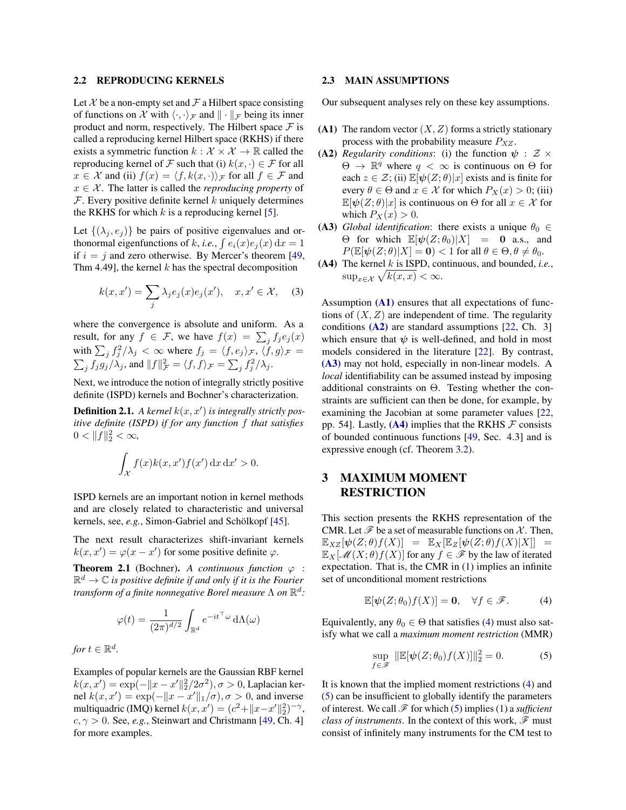#### <span id="page-2-1"></span>2.2 REPRODUCING KERNELS

Let  $X$  be a non-empty set and  $\mathcal F$  a Hilbert space consisting of functions on *X* with  $\langle \cdot, \cdot \rangle_{\mathcal{F}}$  and  $\| \cdot \|_{\mathcal{F}}$  being its inner product and norm, respectively. The Hilbert space  $\mathcal F$  is called a reproducing kernel Hilbert space (RKHS) if there exists a symmetric function  $k : \mathcal{X} \times \mathcal{X} \to \mathbb{R}$  called the reproducing kernel of *F* such that (i)  $k(x, \cdot) \in \mathcal{F}$  for all  $x \in \mathcal{X}$  and (ii)  $f(x) = \langle f, k(x, \cdot) \rangle$ *F* for all  $f \in \mathcal{F}$  and  $x \in \mathcal{X}$ . The latter is called the *reproducing property* of *F*. Every positive definite kernel *k* uniquely determines the RKHS for which  $k$  is a reproducing kernel [\[5\]](#page-8-6).

Let  $\{(\lambda_i, e_i)\}\)$  be pairs of positive eigenvalues and orthonormal eigenfunctions of *k*, *i.e.*,  $\int e_i(x)e_j(x) dx = 1$ if  $i = j$  and zero otherwise. By Mercer's theorem [\[49,](#page-9-25) Thm 4.49], the kernel *k* has the spectral decomposition

<span id="page-2-10"></span>
$$
k(x, x') = \sum_{j} \lambda_j e_j(x) e_j(x'), \quad x, x' \in \mathcal{X}, \quad (3)
$$

where the convergence is absolute and uniform. As a result, for any  $f \in \mathcal{F}$ , we have  $f(x) = \sum_j f_j e_j(x)$ with  $\sum_j f_j^2 / \lambda_j < \infty$  where  $f_j = \langle f, e_j \rangle_{\mathcal{F}}, \langle f, g \rangle_{\mathcal{F}} =$ <br> $\sum_i f_i g_i / \lambda_i$ , and  $||f||_{\mathcal{F}}^2 = \langle f, f \rangle_{\mathcal{F}} = \sum_i f_i^2 / \lambda_i$ .  $f_j f_j g_j / \lambda_j$ , and  $||f||^2_{\mathcal{F}} = \langle f, f \rangle_{\mathcal{F}} = \sum_j f_j^2 / \lambda_j$ .

Next, we introduce the notion of integrally strictly positive definite (ISPD) kernels and Bochner's characterization.

**Definition 2.1.** A kernel  $k(x, x')$  is integrally strictly pos*itive definite (ISPD) if for any function f that satisfies*  $0 < ||f||_2^2 < \infty$ ,

$$
\int_{\mathcal{X}} f(x)k(x, x')f(x') \,dx \,dx' > 0.
$$

ISPD kernels are an important notion in kernel methods and are closely related to characteristic and universal kernels, see, *e.g.*, Simon-Gabriel and Schölkopf [[45\]](#page-9-26).

The next result characterizes shift-invariant kernels  $k(x, x') = \varphi(x - x')$  for some positive definite  $\varphi$ .

<span id="page-2-9"></span>**Theorem 2.1** (Bochner). A continuous function  $\varphi$  :  $\mathbb{R}^d \to \mathbb{C}$  *is positive definite if and only if it is the Fourier transform of a finite nonnegative Borel measure*  $\Lambda$  *on*  $\mathbb{R}^d$ *:* 

$$
\varphi(t) = \frac{1}{(2\pi)^{d/2}} \int_{\mathbb{R}^d} e^{-it^\top \omega} d\Lambda(\omega)
$$

*for*  $t \in \mathbb{R}^d$ .

Examples of popular kernels are the Gaussian RBF kernel  $k(x, x') = \exp(-\|x - x'\|_2^2/2\sigma^2), \sigma > 0$ , Laplacian kernel  $k(x, x') = \exp(-\|x - x'\|_1/\sigma), \sigma > 0$ , and inverse multiquadric (IMQ) kernel  $k(x, x') = (c^2 + ||x - x'||_2^2)^{-\gamma}$ ,  $c, \gamma > 0$ . See, *e.g.*, Steinwart and Christmann [\[49,](#page-9-25) Ch. 4] for more examples.

#### <span id="page-2-2"></span>2.3 MAIN ASSUMPTIONS

Our subsequent analyses rely on these key assumptions.

- <span id="page-2-3"></span>(A1) The random vector  $(X, Z)$  forms a strictly stationary process with the probability measure *PXZ* .
- <span id="page-2-4"></span>(A2) *Regularity conditions*: (i) the function  $\psi : \mathcal{Z} \times$  $\Theta \rightarrow \mathbb{R}^q$  where  $q < \infty$  is continuous on  $\Theta$  for each  $z \in \mathcal{Z}$ ; (ii)  $\mathbb{E}[\psi(Z;\theta)|x]$  exists and is finite for every  $\theta \in \Theta$  and  $x \in \mathcal{X}$  for which  $P_X(x) > 0$ ; (iii)  $\mathbb{E}[\psi(Z;\theta)|x]$  is continuous on  $\Theta$  for all  $x \in \mathcal{X}$  for which  $P_X(x) > 0$ .
- <span id="page-2-5"></span>(A3) *Global identification*: there exists a unique  $\theta_0 \in$  $\Theta$  for which  $\mathbb{E}[\psi(Z;\theta_0)|X] = 0$  a.s., and  $P(\mathbb{E}[\psi(Z;\theta)|X] = \mathbf{0}) < 1$  for all  $\theta \in \Theta, \theta \neq \theta_0$ .
- <span id="page-2-6"></span>(A4) The kernel *k* is ISPD, continuous, and bounded, *i.e.*,  $\sup_{x \in \mathcal{X}} \sqrt{k(x, x)} < \infty.$

Assumption  $(A1)$  ensures that all expectations of functions of  $(X, Z)$  are independent of time. The regularity conditions  $(A2)$  are standard assumptions [\[22,](#page-9-8) Ch. 3] which ensure that  $\psi$  is well-defined, and hold in most models considered in the literature [\[22\]](#page-9-8). By contrast, [\(A3\)](#page-2-5) may not hold, especially in non-linear models. A *local* identifiability can be assumed instead by imposing additional constraints on  $\Theta$ . Testing whether the constraints are sufficient can then be done, for example, by examining the Jacobian at some parameter values [\[22,](#page-9-8) pp. 54]. Lastly,  $(A4)$  implies that the RKHS  $\mathcal F$  consists of bounded continuous functions [\[49,](#page-9-25) Sec. 4.3] and is expressive enough (cf. Theorem [3.2\)](#page-3-0).

## <span id="page-2-0"></span>3 MAXIMUM MOMENT RESTRICTION

This section presents the RKHS representation of the CMR. Let  $\mathscr F$  be a set of measurable functions on  $\mathcal X$ . Then,  $\mathbb{E}_{XZ}[\psi(Z;\theta)f(X)] = \mathbb{E}_{X}[\mathbb{E}_{Z}[\psi(Z;\theta)f(X)|X]] =$  $\mathbb{E}_X[\mathcal{M}(X;\theta)f(X)]$  for any  $f \in \mathcal{F}$  by the law of iterated expectation. That is, the CMR in [\(1\)](#page-1-2) implies an infinite set of unconditional moment restrictions

<span id="page-2-7"></span>
$$
\mathbb{E}[\psi(Z;\theta_0)f(X)] = \mathbf{0}, \quad \forall f \in \mathscr{F}.
$$
 (4)

Equivalently, any  $\theta_0 \in \Theta$  that satisfies [\(4\)](#page-2-7) must also satisfy what we call a *maximum moment restriction* (MMR)

<span id="page-2-8"></span>
$$
\sup_{f \in \mathcal{F}} \|\mathbb{E}[\psi(Z; \theta_0) f(X)]\|_2^2 = 0.
$$
 (5)

It is known that the implied moment restrictions [\(4\)](#page-2-7) and [\(5\)](#page-2-8) can be insufficient to globally identify the parameters of interest. We call *F* for which [\(5\)](#page-2-8) implies [\(1\)](#page-1-2) a *sufficient class of instruments*. In the context of this work, *F* must consist of infinitely many instruments for the CM test to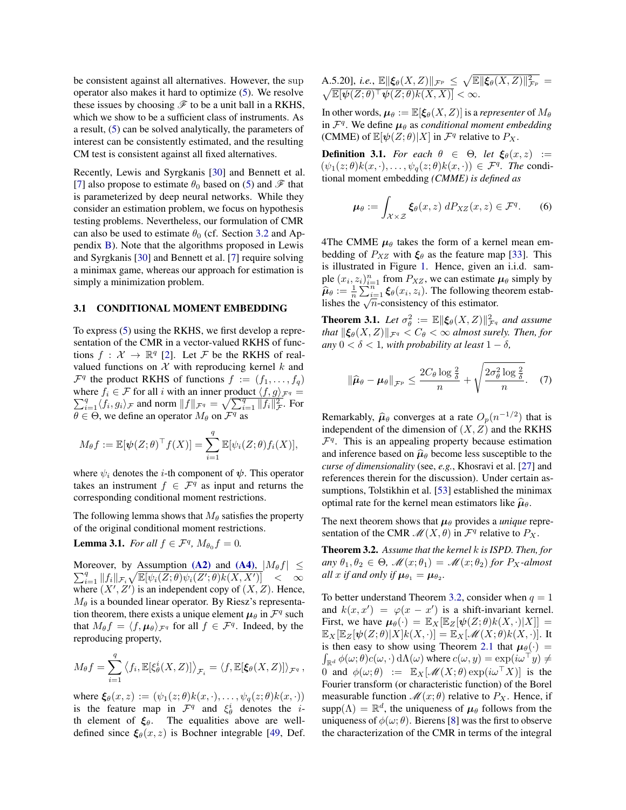be consistent against all alternatives. However, the sup operator also makes it hard to optimize [\(5\)](#page-2-8). We resolve these issues by choosing  $\mathscr F$  to be a unit ball in a RKHS, which we show to be a sufficient class of instruments. As a result, [\(5\)](#page-2-8) can be solved analytically, the parameters of interest can be consistently estimated, and the resulting CM test is consistent against all fixed alternatives.

Recently, Lewis and Syrgkanis [\[30\]](#page-9-4) and Bennett et al. [\[7\]](#page-8-2) also propose to estimate  $\theta_0$  based on [\(5\)](#page-2-8) and  $\mathscr F$  that is parameterized by deep neural networks. While they consider an estimation problem, we focus on hypothesis testing problems. Nevertheless, our formulation of CMR can also be used to estimate  $\theta_0$  (cf. Section [3.2](#page-4-2) and Appendix [B\)](#page--1-1). Note that the algorithms proposed in Lewis and Syrgkanis [\[30\]](#page-9-4) and Bennett et al. [\[7\]](#page-8-2) require solving a minimax game, whereas our approach for estimation is simply a minimization problem.

#### 3.1 CONDITIONAL MOMENT EMBEDDING

To express [\(5\)](#page-2-8) using the RKHS, we first develop a representation of the CMR in a vector-valued RKHS of functions  $f: \mathcal{X} \to \mathbb{R}^q$  [\[2\]](#page-8-7). Let *F* be the RKHS of realvalued functions on  $X$  with reproducing kernel  $k$  and  $\mathcal{F}^q$  the product RKHS of functions  $f := (f_1, \ldots, f_q)$ where  $f_i \in \mathcal{F}$  for all *i* with an inner product  $\langle f, g \rangle_{\mathcal{F}^q} = \nabla^q \cdot \langle f, g \rangle$  and norm  $||f|| = \sqrt{\sum_q q} ||f||_q^2$  . For  $\sum_{i=1}^{q} \langle f_i, g_i \rangle_F$  and norm  $||f||_{\mathcal{F}^q} = \sqrt{\sum_{i=1}^{q} ||f_i||_{\mathcal{F}^r}^2}$ . For  $\theta \in \Theta$ , we define an operator  $M_{\theta}$  on  $\mathcal{F}^q$  as

$$
M_{\theta}f := \mathbb{E}[\psi(Z;\theta)^{\top}f(X)] = \sum_{i=1}^{q} \mathbb{E}[\psi_i(Z;\theta)f_i(X)],
$$

where  $\psi_i$  denotes the *i*-th component of  $\psi$ . This operator takes an instrument  $f \in \mathcal{F}^q$  as input and returns the corresponding conditional moment restrictions.

The following lemma shows that  $M_{\theta}$  satisfies the property of the original conditional moment restrictions.

**Lemma 3.1.** *For all*  $f \in \mathcal{F}^q$ ,  $M_{\theta_0} f = 0$ .

Moreover, by Assumption [\(A2\)](#page-2-4) and [\(A4\)](#page-2-6),  $|M_{\theta}f| \leq$ <br> $\sum_{\theta}^{q} ||f|| \leq \sqrt{\sum_{\theta} |\phi_{\theta}((Z,\theta)| \phi_{\theta}((Z',\theta))|} \leq \sqrt{2}$  $\sum_{i=1}^q ||f_i||_{\mathcal{F}_i} \sqrt{\mathbb{E}[\psi_i(Z;\theta)\psi_i(Z';\theta)k(X,X')]}\ \leq \ \infty$ where  $(X', Z')$  is an independent copy of  $(X, Z)$ . Hence,  $M_{\theta}$  is a bounded linear operator. By Riesz's representation theorem, there exists a unique element  $\mu_{\theta}$  in  $\mathcal{F}^q$  such that  $M_{\theta} f = \langle f, \mu_{\theta} \rangle_{\mathcal{F}^q}$  for all  $f \in \mathcal{F}^q$ . Indeed, by the reproducing property,

$$
M_{\theta}f = \sum_{i=1}^{q} \langle f_i, \mathbb{E}[\xi_{\theta}^{i}(X, Z)] \rangle_{\mathcal{F}_i} = \langle f, \mathbb{E}[\xi_{\theta}(X, Z)] \rangle_{\mathcal{F}^{q}},
$$

where  $\xi_{\theta}(x, z) := (\psi_1(z; \theta)k(x, \cdot), \dots, \psi_q(z; \theta)k(x, \cdot))$ is the feature map in  $\mathcal{F}^q$  and  $\xi^i_\theta$  denotes the *i*th element of  $\xi_{\theta}$ . The equalities above are welldefined since  $\xi_{\theta}(x, z)$  is Bochner integrable [\[49,](#page-9-25) Def.

A.5.20], *i.e.*, 
$$
\mathbb{E} \|\xi_{\theta}(X, Z)\|_{\mathcal{F}^p} \leq \sqrt{\mathbb{E} \|\xi_{\theta}(X, Z)\|_{\mathcal{F}^p}^2} = \sqrt{\mathbb{E} \|\psi(Z; \theta)^{\top} \psi(Z; \theta) k(X, X)|} < \infty
$$
.

In other words,  $\mu_{\theta} := \mathbb{E}[\xi_{\theta}(X, Z)]$  is a *representer* of  $M_{\theta}$ in  $\mathcal{F}^q$ . We define  $\mu_\theta$  as *conditional moment embedding* (CMME) of  $\mathbb{E}[\psi(Z;\theta)|X]$  in  $\mathcal{F}^q$  relative to  $P_X$ .

**Definition 3.1.** For each  $\theta \in \Theta$ , let  $\xi_{\theta}(x, z) :=$  $(\psi_1(z;\theta)k(x,\cdot),\ldots,\psi_q(z;\theta)k(x,\cdot)) \in \mathcal{F}^q$ *. The* conditional moment embedding *(CMME) is defined as*

$$
\mu_{\theta} := \int_{\mathcal{X} \times \mathcal{Z}} \xi_{\theta}(x, z) \, dP_{XZ}(x, z) \in \mathcal{F}^q. \tag{6}
$$

4The CMME  $\mu_{\theta}$  takes the form of a kernel mean embedding of  $P_{XZ}$  with  $\xi_{\theta}$  as the feature map [\[33\]](#page-9-27). This is illustrated in Figure [1.](#page-0-0) Hence, given an i.i.d. sample  $(x_i, z_i)_{i=1}^n$  from  $P_{XZ}$ , we can estimate  $\mu_\theta$  simply by  $\hat{\mu}_{\theta} := \frac{1}{n} \sum_{i=1}^{n} \xi_{\theta}(x_i, z_i)$ . The following theorem establishes the  $\sqrt{n}$ -consistency of this estimator.

**Theorem 3.1.** Let  $\sigma_{\theta}^2 := \mathbb{E} \|\xi_{\theta}(X, Z)\|_{\mathcal{F}^q}^2$  and assume *that*  $\|\xi_{\theta}(X, Z)\|_{\mathcal{F}^q} < C_{\theta} < \infty$  *almost surely. Then, for any*  $0 < \delta < 1$ *, with probability at least*  $1 - \delta$ *.* 

$$
\|\widehat{\mu}_{\theta} - \mu_{\theta}\|_{\mathcal{F}^p} \le \frac{2C_{\theta} \log \frac{2}{\delta}}{n} + \sqrt{\frac{2\sigma_{\theta}^2 \log \frac{2}{\delta}}{n}}. \quad (7)
$$

Remarkably,  $\hat{\mu}_{\theta}$  converges at a rate  $O_p(n^{-1/2})$  that is independent of the dimension of  $(X, Z)$  and the RKHS  $\mathcal{F}^q$ . This is an appealing property because estimation and inference based on  $\hat{\mu}_{\theta}$  become less susceptible to the *curse of dimensionality* (see, *e.g.*, Khosravi et al. [\[27\]](#page-9-28) and references therein for the discussion). Under certain assumptions, Tolstikhin et al. [\[53\]](#page-9-29) established the minimax optimal rate for the kernel mean estimators like  $\hat{\mu}_{\theta}$ .

The next theorem shows that  $\mu_{\theta}$  provides a *unique* representation of the CMR  $\mathcal{M}(X,\theta)$  in  $\mathcal{F}^q$  relative to  $P_X$ .

<span id="page-3-0"></span>Theorem 3.2. *Assume that the kernel k is ISPD. Then, for*  $\partial$ *any*  $\theta_1, \theta_2 \in \Theta$ ,  $\mathcal{M}(x; \theta_1) = \mathcal{M}(x; \theta_2)$  for  $P_X$ -almost *all x if and only if*  $\mu_{\theta_1} = \mu_{\theta_2}$ *.* 

To better understand Theorem [3.2,](#page-3-0) consider when  $q = 1$ and  $k(x, x') = \varphi(x - x')$  is a shift-invariant kernel. First, we have  $\mu_{\theta}(\cdot) = \mathbb{E}_{X}[\mathbb{E}_{Z}[\psi(Z;\theta)k(X,\cdot)|X]] =$  $\mathbb{E}_X[\mathbb{E}_Z[\psi(Z;\theta)|X]k(X,\cdot)] = \mathbb{E}_X[\mathscr{M}(X;\theta)k(X,\cdot)].$  It is then easy to show using Theorem [2.1](#page-2-9) that  $\mu_{\theta}(\cdot)$  =  $\int_{\mathbb{R}^d} \phi(\omega; \theta) c(\omega, \cdot) d\Lambda(\omega)$  where  $c(\omega, y) = \exp(i\omega^{\top} y) \neq$ 0 and  $\phi(\omega; \theta) := \mathbb{E}_X[\mathcal{M}(X; \theta) \exp(i\omega^\top X)]$  is the Fourier transform (or characteristic function) of the Borel measurable function  $\mathcal{M}(x;\theta)$  relative to  $P_X$ . Hence, if  $supp(\Lambda) = \mathbb{R}^d$ , the uniqueness of  $\mu_\theta$  follows from the uniqueness of  $\phi(\omega; \theta)$ . Bierens [\[8\]](#page-8-4) was the first to observe the characterization of the CMR in terms of the integral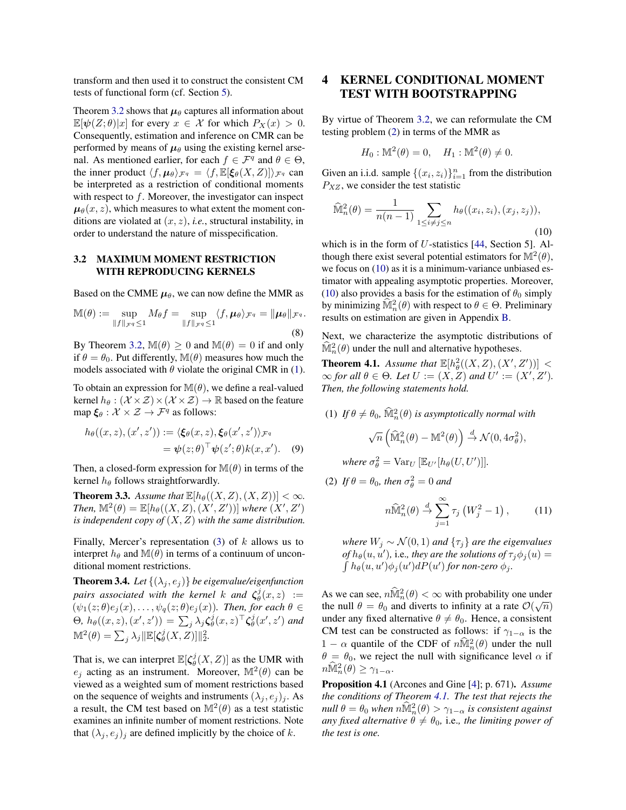transform and then used it to construct the consistent CM tests of functional form (cf. Section [5\)](#page-5-0).

Theorem [3.2](#page-3-0) shows that  $\mu_{\theta}$  captures all information about  $\mathbb{E}[\psi(Z;\theta)|x]$  for every  $x \in \mathcal{X}$  for which  $P_X(x) > 0$ . Consequently, estimation and inference on CMR can be performed by means of  $\mu_{\theta}$  using the existing kernel arsenal. As mentioned earlier, for each  $f \in \mathcal{F}^q$  and  $\theta \in \Theta$ , the inner product  $\langle f, \mu_{\theta} \rangle_{\mathcal{F}^q} = \langle f, \mathbb{E}[\xi_{\theta}(X, Z)] \rangle_{\mathcal{F}^q}$  can be interpreted as a restriction of conditional moments with respect to *f*. Moreover, the investigator can inspect  $\mu_{\theta}(x, z)$ , which measures to what extent the moment conditions are violated at (*x, z*), *i.e.*, structural instability, in order to understand the nature of misspecification.

#### <span id="page-4-2"></span>3.2 MAXIMUM MOMENT RESTRICTION WITH REPRODUCING KERNELS

Based on the CMME  $\mu_{\theta}$ , we can now define the MMR as

$$
\mathbb{M}(\theta) := \sup_{\|f\|_{\mathcal{F}^q} \le 1} M_{\theta} f = \sup_{\|f\|_{\mathcal{F}^q} \le 1} \langle f, \mu_{\theta} \rangle_{\mathcal{F}^q} = \|\mu_{\theta}\|_{\mathcal{F}^q}.
$$
\n(8)

By Theorem [3.2,](#page-3-0)  $\mathbb{M}(\theta) \geq 0$  and  $\mathbb{M}(\theta) = 0$  if and only if  $\theta = \theta_0$ . Put differently, M( $\theta$ ) measures how much the models associated with  $\theta$  violate the original CMR in [\(1\)](#page-1-2).

To obtain an expression for  $\mathbb{M}(\theta)$ , we define a real-valued kernel  $h_{\theta}: (\mathcal{X} \times \mathcal{Z}) \times (\mathcal{X} \times \mathcal{Z}) \rightarrow \mathbb{R}$  based on the feature map  $\xi_{\theta}: \mathcal{X} \times \mathcal{Z} \rightarrow \mathcal{F}^{q}$  as follows:

$$
h_{\theta}((x, z), (x', z')) := \langle \xi_{\theta}(x, z), \xi_{\theta}(x', z') \rangle_{\mathcal{F}^q}
$$
  
=  $\psi(z; \theta)^{\top} \psi(z'; \theta) k(x, x').$  (9)

Then, a closed-form expression for  $\mathbb{M}(\theta)$  in terms of the kernel  $h_{\theta}$  follows straightforwardly.

<span id="page-4-0"></span>**Theorem 3.3.** Assume that  $\mathbb{E}[h_{\theta}((X, Z), (X, Z))] < \infty$ . *Then,*  $\mathbb{M}^2(\theta) = \mathbb{E}[h_\theta((X, Z), (X', Z'))]$  *where*  $(X', Z')$ *is independent copy of* (*X, Z*) *with the same distribution.*

Finally, Mercer's representation [\(3\)](#page-2-10) of *k* allows us to interpret  $h_{\theta}$  and  $\mathbb{M}(\theta)$  in terms of a continuum of unconditional moment restrictions.

<span id="page-4-6"></span>**Theorem 3.4.** Let  $\{(\lambda_j, e_j)\}$  be eigenvalue/eigenfunction *pairs associated with the kernel k and*  $\zeta_{\theta}^{j}(x, z)$  :=  $(\psi_1(z;\theta)e_j(x),\ldots,\psi_q(z;\theta)e_j(x)$ *). Then, for each*  $\theta \in$  $\Theta$ ,  $h_{\theta}((x, z), (x', z')) = \sum_{j} \lambda_j \zeta_{\theta}^{j}(x, z)^{\top} \zeta_{\theta}^{j}(x', z')$  and  $\mathbb{M}^2(\theta) = \sum_j \lambda_j \|\mathbb{E}[\zeta_{\theta}^j(X, Z)]\|_2^2.$ 

That is, we can interpret  $\mathbb{E}[\zeta_{\theta}^{j}(X, Z)]$  as the UMR with *e*<sup>*j*</sup> acting as an instrument. Moreover,  $\mathbb{M}^2(\theta)$  can be viewed as a weighted sum of moment restrictions based on the sequence of weights and instruments  $(\lambda_i, e_i)_i$ . As a result, the CM test based on  $\mathbb{M}^2(\theta)$  as a test statistic examines an infinite number of moment restrictions. Note that  $(\lambda_j, e_j)_j$  are defined implicitly by the choice of *k*.

## <span id="page-4-1"></span>4 KERNEL CONDITIONAL MOMENT TEST WITH BOOTSTRAPPING

By virtue of Theorem [3.2,](#page-3-0) we can reformulate the CM testing problem [\(2\)](#page-1-3) in terms of the MMR as

$$
H_0: M^2(\theta) = 0, \quad H_1: M^2(\theta) \neq 0.
$$

Given an i.i.d. sample  $\{(x_i, z_i)\}_{i=1}^n$  from the distribution *PXZ* , we consider the test statistic

<span id="page-4-3"></span>
$$
\widehat{\mathbb{M}}_n^2(\theta) = \frac{1}{n(n-1)} \sum_{1 \le i \ne j \le n} h_{\theta}((x_i, z_i), (x_j, z_j)),
$$
\n(10)

which is in the form of *U*-statistics [\[44,](#page-9-30) Section 5]. Although there exist several potential estimators for  $\mathbb{M}^2(\theta)$ , we focus on [\(10\)](#page-4-3) as it is a minimum-variance unbiased estimator with appealing asymptotic properties. Moreover, [\(10\)](#page-4-3) also provides a basis for the estimation of  $\theta_0$  simply by minimizing  $\widehat{\mathbb{M}}_n^2(\theta)$  with respect to  $\theta \in \Theta$ . Preliminary results on estimation are given in Appendix [B.](#page--1-1)

Next, we characterize the asymptotic distributions of  $\hat{\mathbb{M}}_n^2(\theta)$  under the null and alternative hypotheses.

<span id="page-4-4"></span>**Theorem 4.1.** Assume that  $\mathbb{E}[h_{\theta}^{2}((X, Z), (X', Z'))]$  <  $\infty$  for all  $\theta \in \Theta$ . Let  $U := (X, Z)$  and  $U' := (X', Z')$ . *Then, the following statements hold.*

(1) If  $\theta \neq \theta_0$ ,  $\hat{\mathbb{M}}_n^2(\theta)$  is asymptotically normal with

$$
\sqrt{n}\left(\widehat{\mathbb{M}}_n^2(\theta)-\mathbb{M}^2(\theta)\right)\overset{d}{\to}\mathcal{N}(0,4\sigma_\theta^2),
$$

where  $\sigma_{\theta}^2 = \text{Var}_U \left[ \mathbb{E}_{U'} [h_{\theta}(U, U')] \right]$ .

(2) If  $\theta = \theta_0$ , then  $\sigma_{\theta}^2 = 0$  and

<span id="page-4-5"></span>
$$
n\widehat{\mathbb{M}}_n^2(\theta) \stackrel{d}{\rightarrow} \sum_{j=1}^{\infty} \tau_j \left( W_j^2 - 1 \right), \tag{11}
$$

*where*  $W_j \sim \mathcal{N}(0, 1)$  *and*  $\{\tau_j\}$  *are the eigenvalues*  $of h_{\theta}(u, u'),$  i.e., they are the solutions of  $\tau_j \phi_j(u) =$  $\int h_{\theta}(u, u') \phi_j(u') dP(u')$  for non-zero  $\phi_j$ .

As we can see,  $n\hat{\mathbb{M}}_n^2(\theta) < \infty$  with probability one under the null  $\theta = \theta_0$  and diverts to infinity at a rate  $\mathcal{O}(\sqrt{n})$ under any fixed alternative  $\theta \neq \theta_0$ . Hence, a consistent CM test can be constructed as follows: if  $\gamma_{1-\alpha}$  is the  $1 - \alpha$  quantile of the CDF of  $n\hat{\mathbb{M}}_n^2(\theta)$  under the null  $\theta = \theta_0$ , we reject the null with significance level  $\alpha$  if  $n\widehat{\mathbb{M}}_n^2(\theta) \geq \gamma_{1-\alpha}.$ 

Proposition 4.1 (Arcones and Gine [\[4\]](#page-8-8); p. 671). *Assume the conditions of Theorem [4.1.](#page-4-4) The test that rejects the*  ${\it null}\; \theta = \theta_0$  when  ${\it n} \hat{\mathbb{M}}^2_n(\theta) > \gamma_{1-\alpha}$  is consistent against *any fixed alternative*  $\theta \neq \theta_0$ *, i.e., the limiting power of the test is one.*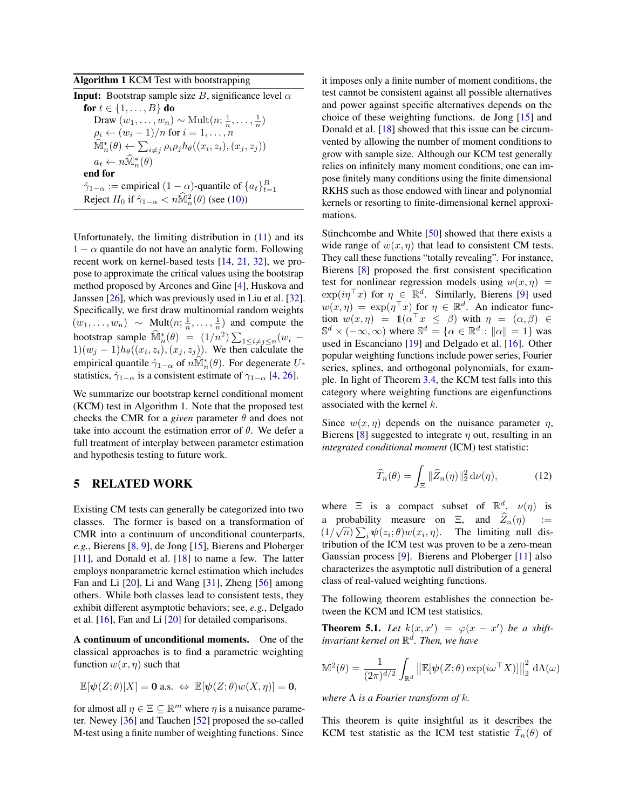<span id="page-5-2"></span>Algorithm 1 KCM Test with bootstrapping

| <b>Input:</b> Bootstrap sample size B, significance level $\alpha$                                   |
|------------------------------------------------------------------------------------------------------|
| for $t \in \{1, , B\}$ do                                                                            |
| Draw $(w_1, \ldots, w_n) \sim \text{Mult}(n; \frac{1}{n}, \ldots, \frac{1}{n})$                      |
| $\rho_i \leftarrow (w_i - 1)/n$ for $i = 1, \ldots, n$                                               |
| $\mathbb{M}_n^*(\theta) \leftarrow \sum_{i \neq j} \rho_i \rho_j h_{\theta}((x_i, z_i), (x_j, z_j))$ |
| $a_t \leftarrow n\widehat{\mathbb{M}}_n^*(\theta)$                                                   |
| end for                                                                                              |
| $\hat{\gamma}_{1-\alpha}$ := empirical $(1-\alpha)$ -quantile of $\{a_t\}_{t=1}^B$                   |
| Reject $H_0$ if $\hat{\gamma}_{1-\alpha} < n\widehat{M}_n^2(\theta)$ (see (10))                      |

Unfortunately, the limiting distribution in [\(11\)](#page-4-5) and its  $1 - \alpha$  quantile do not have an analytic form. Following recent work on kernel-based tests [\[14,](#page-9-21) [21,](#page-9-22) [32\]](#page-9-23), we propose to approximate the critical values using the bootstrap method proposed by Arcones and Gine [\[4\]](#page-8-8), Huskova and Janssen [\[26\]](#page-9-31), which was previously used in Liu et al. [\[32\]](#page-9-23). Specifically, we first draw multinomial random weights  $(w_1, \ldots, w_n) \sim \text{Mult}(n; \frac{1}{n}, \ldots, \frac{1}{n})$  and compute the bootstrap sample  $\widehat{\mathbb{M}}_n^*(\theta) = (1/n^2) \sum_{1 \le i \ne j \le n} (w_i -$ 1) $(w_j - 1)h_\theta((x_i, z_i), (x_j, z_j))$ . We then calculate the empirical quantile  $\hat{\gamma}_{1-\alpha}$  of  $n\mathbb{M}_{n}^{*}(\theta)$ . For degenerate *U*statistics,  $\hat{\gamma}_{1-\alpha}$  is a consistent estimate of  $\gamma_{1-\alpha}$  [\[4,](#page-8-8) [26\]](#page-9-31).

We summarize our bootstrap kernel conditional moment (KCM) test in Algorithm 1. Note that the proposed test checks the CMR for a *given* parameter  $\theta$  and does not take into account the estimation error of  $\theta$ . We defer a full treatment of interplay between parameter estimation and hypothesis testing to future work.

### <span id="page-5-0"></span>5 RELATED WORK

Existing CM tests can generally be categorized into two classes. The former is based on a transformation of CMR into a continuum of unconditional counterparts, *e.g.*, Bierens [\[8,](#page-8-4) [9\]](#page-8-9), de Jong [\[15\]](#page-9-15), Bierens and Ploberger [\[11\]](#page-8-5), and Donald et al. [\[18\]](#page-9-16) to name a few. The latter employs nonparametric kernel estimation which includes Fan and Li [\[20\]](#page-9-32), Li and Wang [\[31\]](#page-9-17), Zheng [\[56\]](#page-9-18) among others. While both classes lead to consistent tests, they exhibit different asymptotic behaviors; see, *e.g.*, Delgado et al. [\[16\]](#page-9-19), Fan and Li [\[20\]](#page-9-32) for detailed comparisons.

A continuum of unconditional moments. One of the classical approaches is to find a parametric weighting function  $w(x, \eta)$  such that

$$
\mathbb{E}[\psi(Z;\theta)|X] = \mathbf{0} \text{ a.s. } \Leftrightarrow \mathbb{E}[\psi(Z;\theta)w(X,\eta)] = \mathbf{0},
$$

for almost all  $\eta \in \Xi \subseteq \mathbb{R}^m$  where  $\eta$  is a nuisance parameter. Newey [\[36\]](#page-9-11) and Tauchen [\[52\]](#page-9-12) proposed the so-called M-test using a finite number of weighting functions. Since

it imposes only a finite number of moment conditions, the test cannot be consistent against all possible alternatives and power against specific alternatives depends on the choice of these weighting functions. de Jong [\[15\]](#page-9-15) and Donald et al. [\[18\]](#page-9-16) showed that this issue can be circumvented by allowing the number of moment conditions to grow with sample size. Although our KCM test generally relies on infinitely many moment conditions, one can impose finitely many conditions using the finite dimensional RKHS such as those endowed with linear and polynomial kernels or resorting to finite-dimensional kernel approximations.

Stinchcombe and White [\[50\]](#page-9-33) showed that there exists a wide range of  $w(x, \eta)$  that lead to consistent CM tests. They call these functions "totally revealing". For instance, Bierens [\[8\]](#page-8-4) proposed the first consistent specification test for nonlinear regression models using  $w(x, \eta)$  =  $\exp(i\eta^\top x)$  for  $\eta \in \mathbb{R}^d$ . Similarly, Bierens [\[9\]](#page-8-9) used  $w(x, \eta) = \exp(\eta^\top x)$  for  $\eta \in \mathbb{R}^d$ . An indicator function  $w(x, \eta) = \mathbb{1}(\alpha^{\top} x \leq \beta)$  with  $\eta = (\alpha, \beta) \in$  $\mathbb{S}^d \times (-\infty, \infty)$  where  $\mathbb{S}^d = \{ \alpha \in \mathbb{R}^d : ||\alpha|| = 1 \}$  was used in Escanciano [\[19\]](#page-9-34) and Delgado et al. [\[16\]](#page-9-19). Other popular weighting functions include power series, Fourier series, splines, and orthogonal polynomials, for example. In light of Theorem [3.4,](#page-4-6) the KCM test falls into this category where weighting functions are eigenfunctions associated with the kernel *k*.

Since  $w(x, \eta)$  depends on the nuisance parameter  $\eta$ , Bierens [\[8\]](#page-8-4) suggested to integrate  $\eta$  out, resulting in an *integrated conditional moment* (ICM) test statistic:

<span id="page-5-1"></span>
$$
\widehat{T}_n(\theta) = \int_{\Xi} \|\widehat{Z}_n(\eta)\|_2^2 \, \mathrm{d}\nu(\eta),\tag{12}
$$

where  $\Xi$  is a compact subset of  $\mathbb{R}^d$ ,  $\nu(\eta)$  is a probability measure on  $\Xi$ , and  $\widehat{Z}_n(\eta)$  :=  $(1/\sqrt{n}) \sum_i \psi(z_i;\theta) w(x_i,\eta)$ . The limiting null distribution of the ICM test was proven to be a zero-mean Gaussian process [\[9\]](#page-8-9). Bierens and Ploberger [\[11\]](#page-8-5) also characterizes the asymptotic null distribution of a general class of real-valued weighting functions.

The following theorem establishes the connection between the KCM and ICM test statistics.

**Theorem 5.1.** Let  $k(x, x') = \varphi(x - x')$  be a shift*invariant kernel on* R*<sup>d</sup>. Then, we have*

$$
\mathbb{M}^2(\theta) = \frac{1}{(2\pi)^{d/2}} \int_{\mathbb{R}^d} \left\| \mathbb{E}[\boldsymbol{\psi}(Z;\theta) \exp(i\omega^\top X)] \right\|_2^2 \, \mathrm{d}\Lambda(\omega)
$$

*where*  $\Lambda$  *is a Fourier transform of k.* 

This theorem is quite insightful as it describes the KCM test statistic as the ICM test statistic  $T_n(\theta)$  of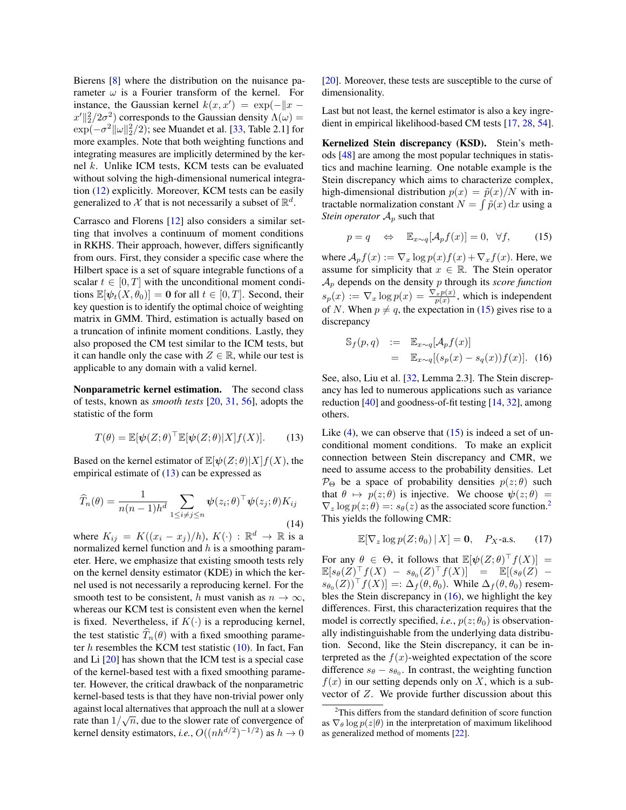Bierens [\[8\]](#page-8-4) where the distribution on the nuisance parameter  $\omega$  is a Fourier transform of the kernel. For instance, the Gaussian kernel  $k(x, x') = \exp(-\|x - \theta\|_2^2)$  $||x'||_2^2/2\sigma^2$  corresponds to the Gaussian density  $\Lambda(\omega) =$  $\exp(-\sigma^2 \|\omega\|_2^2/2)$ ; see Muandet et al. [\[33,](#page-9-27) Table 2.1] for more examples. Note that both weighting functions and integrating measures are implicitly determined by the kernel *k*. Unlike ICM tests, KCM tests can be evaluated without solving the high-dimensional numerical integration [\(12\)](#page-5-1) explicitly. Moreover, KCM tests can be easily generalized to  $\mathcal X$  that is not necessarily a subset of  $\mathbb R^d$ .

Carrasco and Florens [\[12\]](#page-9-24) also considers a similar setting that involves a continuum of moment conditions in RKHS. Their approach, however, differs significantly from ours. First, they consider a specific case where the Hilbert space is a set of square integrable functions of a scalar  $t \in [0, T]$  with the unconditional moment conditions  $\mathbb{E}[\psi_t(X, \theta_0)] = \mathbf{0}$  for all  $t \in [0, T]$ . Second, their key question is to identify the optimal choice of weighting matrix in GMM. Third, estimation is actually based on a truncation of infinite moment conditions. Lastly, they also proposed the CM test similar to the ICM tests, but it can handle only the case with  $Z \in \mathbb{R}$ , while our test is applicable to any domain with a valid kernel.

Nonparametric kernel estimation. The second class of tests, known as *smooth tests* [\[20,](#page-9-32) [31,](#page-9-17) [56\]](#page-9-18), adopts the statistic of the form

<span id="page-6-0"></span>
$$
T(\theta) = \mathbb{E}[\psi(Z;\theta)^\top \mathbb{E}[\psi(Z;\theta)|X]f(X)].
$$
 (13)

Based on the kernel estimator of  $\mathbb{E}[\psi(Z;\theta)|X]f(X)$ , the empirical estimate of [\(13\)](#page-6-0) can be expressed as

<span id="page-6-4"></span>
$$
\widehat{T}_n(\theta) = \frac{1}{n(n-1)h^d} \sum_{1 \le i \ne j \le n} \psi(z_i; \theta)^\top \psi(z_j; \theta) K_{ij}
$$
\n(14)

where  $K_{ij} = K((x_i - x_j)/h), K(\cdot) : \mathbb{R}^d \to \mathbb{R}$  is a normalized kernel function and *h* is a smoothing parameter. Here, we emphasize that existing smooth tests rely on the kernel density estimator (KDE) in which the kernel used is not necessarily a reproducing kernel. For the smooth test to be consistent, *h* must vanish as  $n \to \infty$ , whereas our KCM test is consistent even when the kernel is fixed. Nevertheless, if  $K(\cdot)$  is a reproducing kernel, the test statistic  $\widehat{T}_n(\theta)$  with a fixed smoothing parameter *h* resembles the KCM test statistic [\(10\)](#page-4-3). In fact, Fan and Li [\[20\]](#page-9-32) has shown that the ICM test is a special case of the kernel-based test with a fixed smoothing parameter. However, the critical drawback of the nonparametric kernel-based tests is that they have non-trivial power only against local alternatives that approach the null at a slower rate than  $1/\sqrt{n}$ , due to the slower rate of convergence of kernel density estimators, *i.e.*,  $O((nh^{d/2})^{-1/2})$  as  $h \to 0$  [\[20\]](#page-9-32). Moreover, these tests are susceptible to the curse of dimensionality.

Last but not least, the kernel estimator is also a key ingredient in empirical likelihood-based CM tests [\[17,](#page-9-35) [28,](#page-9-36) [54\]](#page-9-20).

Kernelized Stein discrepancy (KSD). Stein's methods [\[48\]](#page-9-37) are among the most popular techniques in statistics and machine learning. One notable example is the Stein discrepancy which aims to characterize complex, high-dimensional distribution  $p(x) = \tilde{p}(x)/N$  with intractable normalization constant  $N = \int \tilde{p}(x) dx$  using a *Stein operator*  $A_p$  such that

<span id="page-6-1"></span>
$$
p = q \quad \Leftrightarrow \quad \mathbb{E}_{x \sim q}[\mathcal{A}_p f(x)] = 0, \ \forall f, \tag{15}
$$

where  $A_p f(x) := \nabla_x \log p(x) f(x) + \nabla_x f(x)$ . Here, we assume for simplicity that  $x \in \mathbb{R}$ . The Stein operator *A<sup>p</sup>* depends on the density *p* through its *score function*  $s_p(x) := \nabla_x \log p(x) = \frac{\nabla_x p(x)}{p(x)}$ , which is independent of *N*. When  $p \neq q$ , the expectation in [\(15\)](#page-6-1) gives rise to a discrepancy

<span id="page-6-3"></span>
$$
\begin{array}{rcl}\n\mathbb{S}_f(p,q) & := & \mathbb{E}_{x \sim q}[\mathcal{A}_p f(x)] \\
& = & \mathbb{E}_{x \sim q}[(s_p(x) - s_q(x))f(x)].\n\end{array} \tag{16}
$$

See, also, Liu et al. [\[32,](#page-9-23) Lemma 2.3]. The Stein discrepancy has led to numerous applications such as variance reduction [\[40\]](#page-9-38) and goodness-of-fit testing [\[14,](#page-9-21) [32\]](#page-9-23), among others.

Like  $(4)$ , we can observe that  $(15)$  is indeed a set of unconditional moment conditions. To make an explicit connection between Stein discrepancy and CMR, we need to assume access to the probability densities. Let  $\mathcal{P}_{\Theta}$  be a space of probability densities  $p(z; \theta)$  such that  $\theta \mapsto p(z; \theta)$  is injective. We choose  $\psi(z; \theta)$  =  $\nabla_z \log p(z;\theta) =: s_\theta(z)$  as the associated score function.<sup>2</sup> This yields the following CMR:

$$
\mathbb{E}[\nabla_z \log p(Z; \theta_0) | X] = \mathbf{0}, \quad P_X\text{-a.s.}
$$
 (17)

For any  $\theta \in \Theta$ , it follows that  $\mathbb{E}[\psi(Z;\theta)^\top f(X)] =$  $\mathbb{E}[s_{\theta}(Z)^{\top}f(X) - s_{\theta_0}(Z)^{\top}f(X)] = \mathbb{E}[(s_{\theta}(Z)$  $s_{\theta_0}(Z)$ <sup>T</sup> $f(X)$ ] =:  $\Delta_f(\theta, \theta_0)$ . While  $\Delta_f(\theta, \theta_0)$  resembles the Stein discrepancy in [\(16\)](#page-6-3), we highlight the key differences. First, this characterization requires that the model is correctly specified, *i.e.*,  $p(z; \theta_0)$  is observationally indistinguishable from the underlying data distribution. Second, like the Stein discrepancy, it can be interpreted as the  $f(x)$ -weighted expectation of the score difference  $s_{\theta} - s_{\theta_0}$ . In contrast, the weighting function  $f(x)$  in our setting depends only on *X*, which is a subvector of *Z*. We provide further discussion about this

<span id="page-6-2"></span><sup>&</sup>lt;sup>2</sup>This differs from the standard definition of score function as  $\nabla_{\theta} \log p(z|\theta)$  in the interpretation of maximum likelihood as generalized method of moments [\[22\]](#page-9-8).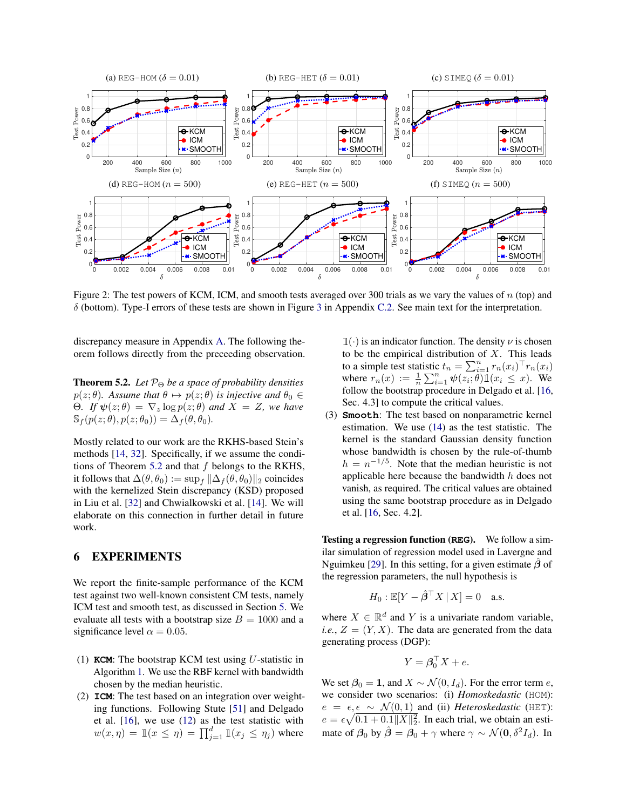<span id="page-7-1"></span>

Figure 2: The test powers of KCM, ICM, and smooth tests averaged over 300 trials as we vary the values of *n* (top) and  $\delta$  (bottom). Type-I errors of these tests are shown in Figure [3](#page--1-2) in Appendix [C.2.](#page--1-3) See main text for the interpretation.

discrepancy measure in Appendix [A.](#page--1-4) The following theorem follows directly from the preceeding observation.

<span id="page-7-0"></span>**Theorem 5.2.** *Let*  $P_{\Theta}$  *be a space of probability densities*  $p(z; \theta)$ *. Assume that*  $\theta \mapsto p(z; \theta)$  *is injective and*  $\theta_0 \in$  $\Theta$ *. If*  $\psi(z;\theta) = \nabla_z \log p(z;\theta)$  and  $X = Z$ *, we have*  $\mathbb{S}_f(p(z;\theta),p(z;\theta_0)) = \Delta_f(\theta,\theta_0).$ 

Mostly related to our work are the RKHS-based Stein's methods [\[14,](#page-9-21) [32\]](#page-9-23). Specifically, if we assume the conditions of Theorem [5.2](#page-7-0) and that *f* belongs to the RKHS, it follows that  $\Delta(\theta, \theta_0) := \sup_{f} ||\Delta_f(\theta, \theta_0)||_2$  coincides with the kernelized Stein discrepancy (KSD) proposed in Liu et al. [\[32\]](#page-9-23) and Chwialkowski et al. [\[14\]](#page-9-21). We will elaborate on this connection in further detail in future work.

## 6 EXPERIMENTS

We report the finite-sample performance of the KCM test against two well-known consistent CM tests, namely ICM test and smooth test, as discussed in Section [5.](#page-5-0) We evaluate all tests with a bootstrap size  $B = 1000$  and a significance level  $\alpha = 0.05$ .

- (1) **KCM**: The bootstrap KCM test using *U*-statistic in Algorithm [1.](#page-5-2) We use the RBF kernel with bandwidth chosen by the median heuristic.
- (2) **ICM**: The test based on an integration over weighting functions. Following Stute [\[51\]](#page-9-39) and Delgado et al. [\[16\]](#page-9-19), we use [\(12\)](#page-5-1) as the test statistic with  $w(x, \eta) = \mathbb{1}(x \leq \eta) = \prod_{j=1}^{d} \mathbb{1}(x_j \leq \eta_j)$  where

 $\mathbb{1}(\cdot)$  is an indicator function. The density  $\nu$  is chosen to be the empirical distribution of *X*. This leads to a simple test statistic  $t_n = \sum_{i=1}^n r_n(x_i)^\top r_n(x_i)$ where  $r_n(x) := \frac{1}{n} \sum_{i=1}^n \psi(z_i; \theta) \mathbb{1}(x_i \leq x)$ . We follow the bootstrap procedure in Delgado et al. [\[16,](#page-9-19) Sec. 4.3] to compute the critical values.

(3) **Smooth**: The test based on nonparametric kernel estimation. We use [\(14\)](#page-6-4) as the test statistic. The kernel is the standard Gaussian density function whose bandwidth is chosen by the rule-of-thumb  $h = n^{-1/5}$ . Note that the median heuristic is not applicable here because the bandwidth *h* does not vanish, as required. The critical values are obtained using the same bootstrap procedure as in Delgado et al. [\[16,](#page-9-19) Sec. 4.2].

Testing a regression function (**REG**). We follow a similar simulation of regression model used in Lavergne and Nguimkeu [\[29\]](#page-9-40). In this setting, for a given estimate  $\beta$  of the regression parameters, the null hypothesis is

$$
H_0: \mathbb{E}[Y - \hat{\beta}^\top X | X] = 0 \quad \text{a.s.}
$$

where  $X \in \mathbb{R}^d$  and *Y* is a univariate random variable, *i.e.*,  $Z = (Y, X)$ . The data are generated from the data generating process (DGP):

$$
Y = \mathbf{\beta}_0^\top X + e.
$$

We set  $\beta_0 = 1$ , and  $X \sim \mathcal{N}(0, I_d)$ . For the error term *e*, we consider two scenarios: (i) *Homoskedastic* (HOM):  $e = \epsilon, \epsilon \sim \mathcal{N}(0, 1)$  and (ii) *Heteroskedastic* (HET):  $e = \epsilon \sqrt{0.1 + 0.1 ||X||_2^2}$ . In each trial, we obtain an estimate of  $\beta_0$  by  $\hat{\beta} = \beta_0 + \gamma$  where  $\gamma \sim \mathcal{N}(0, \delta^2 I_d)$ . In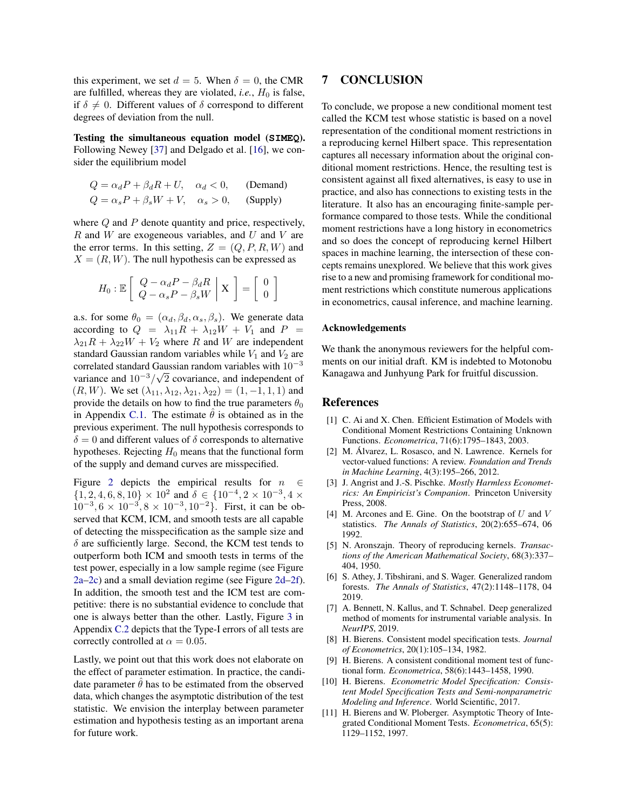this experiment, we set  $d = 5$ . When  $\delta = 0$ , the CMR are fulfilled, whereas they are violated, *i.e.*,  $H_0$  is false, if  $\delta \neq 0$ . Different values of  $\delta$  correspond to different degrees of deviation from the null.

Testing the simultaneous equation model (**SIMEQ**). Following Newey [\[37\]](#page-9-41) and Delgado et al. [\[16\]](#page-9-19), we consider the equilibrium model

$$
Q = \alpha_d P + \beta_d R + U, \quad \alpha_d < 0,
$$
 (Demand)  
\n
$$
Q = \alpha_s P + \beta_s W + V, \quad \alpha_s > 0,
$$
 (Supply)

where *Q* and *P* denote quantity and price, respectively, *R* and *W* are exogeneous variables, and *U* and *V* are the error terms. In this setting,  $Z = (Q, P, R, W)$  and  $X = (R, W)$ . The null hypothesis can be expressed as

$$
H_0: \mathbb{E}\left[\begin{array}{c} Q - \alpha_d P - \beta_d R \\ Q - \alpha_s P - \beta_s W \end{array}\bigg|\begin{array}{c} \mathbf{X} \end{array}\right] = \left[\begin{array}{c} 0 \\ 0 \end{array}\right]
$$

a.s. for some  $\theta_0 = (\alpha_d, \beta_d, \alpha_s, \beta_s)$ . We generate data according to  $Q = \lambda_{11}R + \lambda_{12}W + V_1$  and  $P =$  $\lambda_{21}R + \lambda_{22}W + V_2$  where *R* and *W* are independent standard Gaussian random variables while  $V_1$  and  $V_2$  are correlated standard Gaussian random variables with  $10^{-3}$ variance and  $10^{-3}/\sqrt{2}$  covariance, and independent of  $(R, W)$ . We set  $(\lambda_{11}, \lambda_{12}, \lambda_{21}, \lambda_{22}) = (1, -1, 1, 1)$  and provide the details on how to find the true parameters  $\theta_0$ in Appendix [C.1.](#page--1-5) The estimate  $\theta$  is obtained as in the previous experiment. The null hypothesis corresponds to  $\delta = 0$  and different values of  $\delta$  corresponds to alternative hypotheses. Rejecting  $H_0$  means that the functional form of the supply and demand curves are misspecified.

Figure [2](#page-7-1) depicts the empirical results for  $n \in$  $\{1, 2, 4, 6, 8, 10\} \times 10^2$  and  $\delta \in \{10^{-4}, 2 \times 10^{-3}, 4 \times 10^2\}$  $10^{-3}, 6 \times 10^{-3}, 8 \times 10^{-3}, 10^{-2}$ . First, it can be observed that KCM, ICM, and smooth tests are all capable of detecting the misspecification as the sample size and  $\delta$  are sufficiently large. Second, the KCM test tends to outperform both ICM and smooth tests in terms of the test power, especially in a low sample regime (see Figure [2a–2c\)](#page-7-1) and a small deviation regime (see Figure [2d–2f\)](#page-7-1). In addition, the smooth test and the ICM test are competitive: there is no substantial evidence to conclude that one is always better than the other. Lastly, Figure [3](#page--1-2) in Appendix [C.2](#page--1-3) depicts that the Type-I errors of all tests are correctly controlled at  $\alpha = 0.05$ .

Lastly, we point out that this work does not elaborate on the effect of parameter estimation. In practice, the candidate parameter  $\hat{\theta}$  has to be estimated from the observed data, which changes the asymptotic distribution of the test statistic. We envision the interplay between parameter estimation and hypothesis testing as an important arena for future work.

### 7 CONCLUSION

To conclude, we propose a new conditional moment test called the KCM test whose statistic is based on a novel representation of the conditional moment restrictions in a reproducing kernel Hilbert space. This representation captures all necessary information about the original conditional moment restrictions. Hence, the resulting test is consistent against all fixed alternatives, is easy to use in practice, and also has connections to existing tests in the literature. It also has an encouraging finite-sample performance compared to those tests. While the conditional moment restrictions have a long history in econometrics and so does the concept of reproducing kernel Hilbert spaces in machine learning, the intersection of these concepts remains unexplored. We believe that this work gives rise to a new and promising framework for conditional moment restrictions which constitute numerous applications in econometrics, causal inference, and machine learning.

#### Acknowledgements

We thank the anonymous reviewers for the helpful comments on our initial draft. KM is indebted to Motonobu Kanagawa and Junhyung Park for fruitful discussion.

#### References

- <span id="page-8-0"></span>[1] C. Ai and X. Chen. Efficient Estimation of Models with Conditional Moment Restrictions Containing Unknown Functions. *Econometrica*, 71(6):1795–1843, 2003.
- <span id="page-8-7"></span>[2] M. Álvarez, L. Rosasco, and N. Lawrence. Kernels for vector-valued functions: A review. *Foundation and Trends in Machine Learning*, 4(3):195–266, 2012.
- [3] J. Angrist and J.-S. Pischke. *Mostly Harmless Econometrics: An Empiricist's Companion*. Princeton University Press, 2008.
- <span id="page-8-8"></span>[4] M. Arcones and E. Gine. On the bootstrap of *U* and *V* statistics. *The Annals of Statistics*, 20(2):655–674, 06 1992.
- <span id="page-8-6"></span>[5] N. Aronszajn. Theory of reproducing kernels. *Transactions of the American Mathematical Society*, 68(3):337– 404, 1950.
- <span id="page-8-1"></span>[6] S. Athey, J. Tibshirani, and S. Wager. Generalized random forests. *The Annals of Statistics*, 47(2):1148–1178, 04 2019.
- <span id="page-8-2"></span>[7] A. Bennett, N. Kallus, and T. Schnabel. Deep generalized method of moments for instrumental variable analysis. In *NeurIPS*, 2019.
- <span id="page-8-4"></span>[8] H. Bierens. Consistent model specification tests. *Journal of Econometrics*, 20(1):105–134, 1982.
- <span id="page-8-9"></span>[9] H. Bierens. A consistent conditional moment test of functional form. *Econometrica*, 58(6):1443–1458, 1990.
- <span id="page-8-3"></span>[10] H. Bierens. *Econometric Model Specification: Consistent Model Specification Tests and Semi-nonparametric Modeling and Inference*. World Scientific, 2017.
- <span id="page-8-5"></span>[11] H. Bierens and W. Ploberger. Asymptotic Theory of Integrated Conditional Moment Tests. *Econometrica*, 65(5): 1129–1152, 1997.